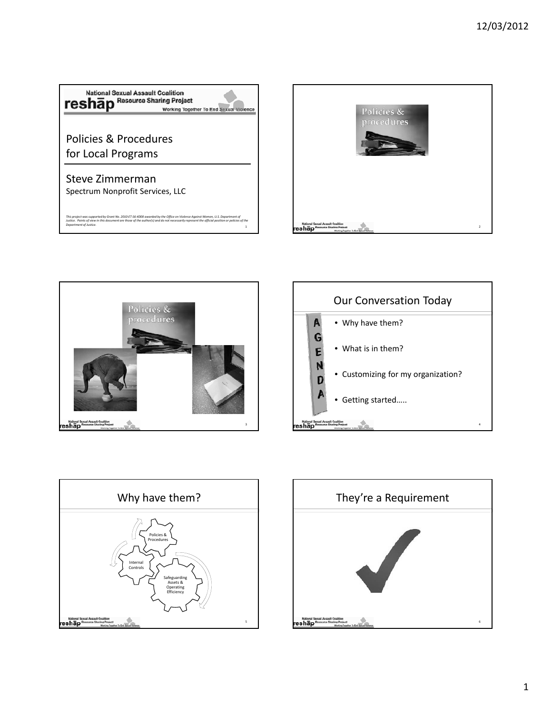









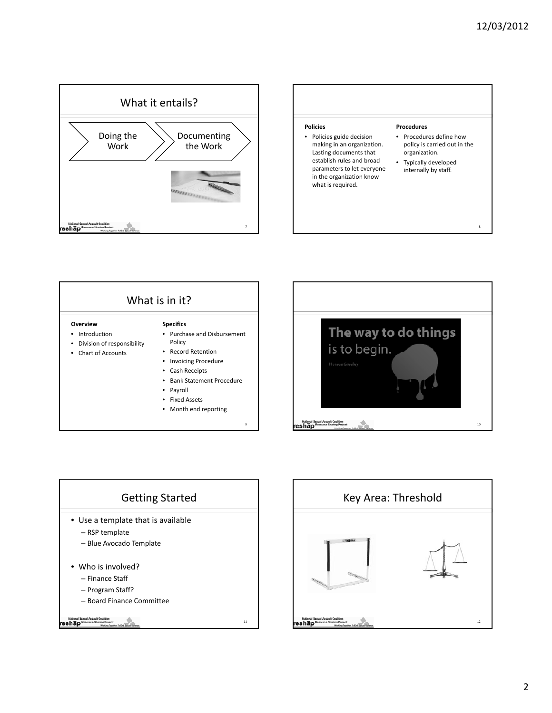





- 
- Month end reporting